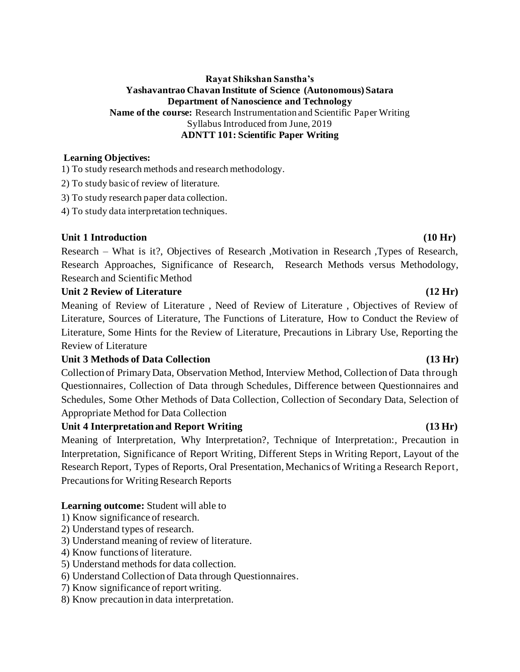### **Rayat Shikshan Sanstha's Yashavantrao Chavan Institute of Science (Autonomous) Satara Department of Nanoscience and Technology Name of the course:** Research Instrumentation and Scientific Paper Writing Syllabus Introduced from June, 2019 **ADNTT 101: Scientific Paper Writing**

### **Learning Objectives:**

1) To study research methods and research methodology.

- 2) To study basic of review of literature.
- 3) To study research paper data collection.
- 4) To study data interpretation techniques.

### Unit 1 Introduction (10 Hr)

Research – What is it?, Objectives of Research ,Motivation in Research ,Types of Research, Research Approaches, Significance of Research, Research Methods versus Methodology, Research and Scientific Method

### **Unit 2 Review of Literature (12 Hr)**

Meaning of Review of Literature , Need of Review of Literature , Objectives of Review of Literature, Sources of Literature, The Functions of Literature, How to Conduct the Review of Literature, Some Hints for the Review of Literature, Precautions in Library Use, Reporting the Review of Literature

### Unit 3 Methods of Data Collection (13 Hr)

Collection of Primary Data, Observation Method, Interview Method, Collection of Data through Questionnaires*,* Collection of Data through Schedules*,* Difference between Questionnaires and Schedules*,* Some Other Methods of Data Collection*,* Collection of Secondary Data, Selection of Appropriate Method for Data Collection

### Unit 4 Interpretation and Report Writing (13 Hr)

Meaning of Interpretation*,* Why Interpretation?*,* Technique of Interpretation:*,* Precaution in Interpretation*,* Significance of Report Writing*,* Different Steps in Writing Report*,* Layout of the Research Report*,* Types of Reports*,* Oral Presentation*,* Mechanics of Writing a Research Report*,* Precautions for Writing Research Reports

### **Learning outcome:** Student will able to

- 1) Know significance of research.
- 2) Understand types of research.
- 3) Understand meaning of review of literature.
- 4) Know functions of literature.
- 5) Understand methods for data collection.
- 6) Understand Collection of Data through Questionnaires.
- 7) Know significance of report writing.
- 8) Know precaution in data interpretation.